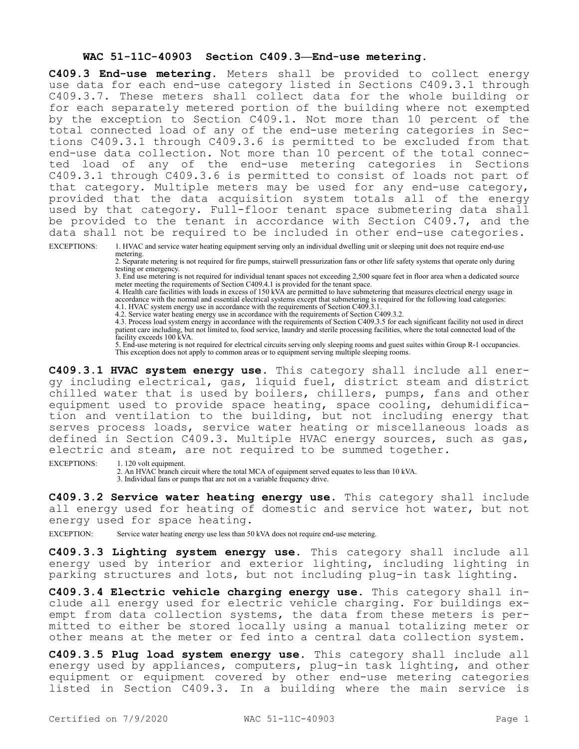## **WAC 51-11C-40903 Section C409.3—End-use metering.**

**C409.3 End-use metering.** Meters shall be provided to collect energy use data for each end-use category listed in Sections C409.3.1 through C409.3.7. These meters shall collect data for the whole building or for each separately metered portion of the building where not exempted by the exception to Section C409.1. Not more than 10 percent of the total connected load of any of the end-use metering categories in Sections C409.3.1 through C409.3.6 is permitted to be excluded from that end-use data collection. Not more than 10 percent of the total connected load of any of the end-use metering categories in Sections C409.3.1 through C409.3.6 is permitted to consist of loads not part of that category. Multiple meters may be used for any end-use category, provided that the data acquisition system totals all of the energy used by that category. Full-floor tenant space submetering data shall be provided to the tenant in accordance with Section C409.7, and the data shall not be required to be included in other end-use categories.

EXCEPTIONS: 1. HVAC and service water heating equipment serving only an individual dwelling unit or sleeping unit does not require end-use metering.

2. Separate metering is not required for fire pumps, stairwell pressurization fans or other life safety systems that operate only during testing or emergency.

3. End use metering is not required for individual tenant spaces not exceeding 2,500 square feet in floor area when a dedicated source meter meeting the requirements of Section C409.4.1 is provided for the tenant space.

4. Health care facilities with loads in excess of 150 kVA are permitted to have submetering that measures electrical energy usage in accordance with the normal and essential electrical systems except that submetering is required for the following load categories: 4.1. HVAC system energy use in accordance with the requirements of Section C409.3.1.

4.2. Service water heating energy use in accordance with the requirements of Section C409.3.2.

4.3. Process load system energy in accordance with the requirements of Section C409.3.5 for each significant facility not used in direct patient care including, but not limited to, food service, laundry and sterile processing facilities, where the total connected load of the facility exceeds 100 kVA.

5. End-use metering is not required for electrical circuits serving only sleeping rooms and guest suites within Group R-1 occupancies. This exception does not apply to common areas or to equipment serving multiple sleeping rooms.

**C409.3.1 HVAC system energy use.** This category shall include all energy including electrical, gas, liquid fuel, district steam and district chilled water that is used by boilers, chillers, pumps, fans and other equipment used to provide space heating, space cooling, dehumidification and ventilation to the building, but not including energy that serves process loads, service water heating or miscellaneous loads as defined in Section C409.3. Multiple HVAC energy sources, such as gas, electric and steam, are not required to be summed together.

EXCEPTIONS: 1. 120 volt equipment.

2. An HVAC branch circuit where the total MCA of equipment served equates to less than 10 kVA. 3. Individual fans or pumps that are not on a variable frequency drive.

**C409.3.2 Service water heating energy use.** This category shall include all energy used for heating of domestic and service hot water, but not energy used for space heating.

EXCEPTION: Service water heating energy use less than 50 kVA does not require end-use metering.

**C409.3.3 Lighting system energy use.** This category shall include all energy used by interior and exterior lighting, including lighting in parking structures and lots, but not including plug-in task lighting.

**C409.3.4 Electric vehicle charging energy use.** This category shall include all energy used for electric vehicle charging. For buildings exempt from data collection systems, the data from these meters is permitted to either be stored locally using a manual totalizing meter or other means at the meter or fed into a central data collection system.

**C409.3.5 Plug load system energy use.** This category shall include all energy used by appliances, computers, plug-in task lighting, and other equipment or equipment covered by other end-use metering categories listed in Section C409.3. In a building where the main service is